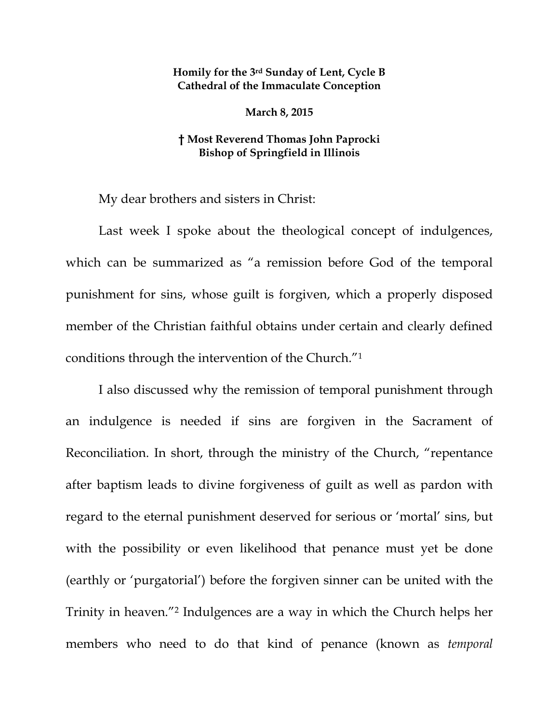## **Homily for the 3rd Sunday of Lent, Cycle B Cathedral of the Immaculate Conception**

**March 8, 2015** 

## **† Most Reverend Thomas John Paprocki Bishop of Springfield in Illinois**

My dear brothers and sisters in Christ:

Last week I spoke about the theological concept of indulgences, which can be summarized as "a remission before God of the temporal punishment for sins, whose guilt is forgiven, which a properly disposed member of the Christian faithful obtains under certain and clearly defined conditions through the intervention of the Church."1

I also discussed why the remission of temporal punishment through an indulgence is needed if sins are forgiven in the Sacrament of Reconciliation. In short, through the ministry of the Church, "repentance after baptism leads to divine forgiveness of guilt as well as pardon with regard to the eternal punishment deserved for serious or 'mortal' sins, but with the possibility or even likelihood that penance must yet be done (earthly or 'purgatorial') before the forgiven sinner can be united with the Trinity in heaven."2 Indulgences are a way in which the Church helps her members who need to do that kind of penance (known as *temporal*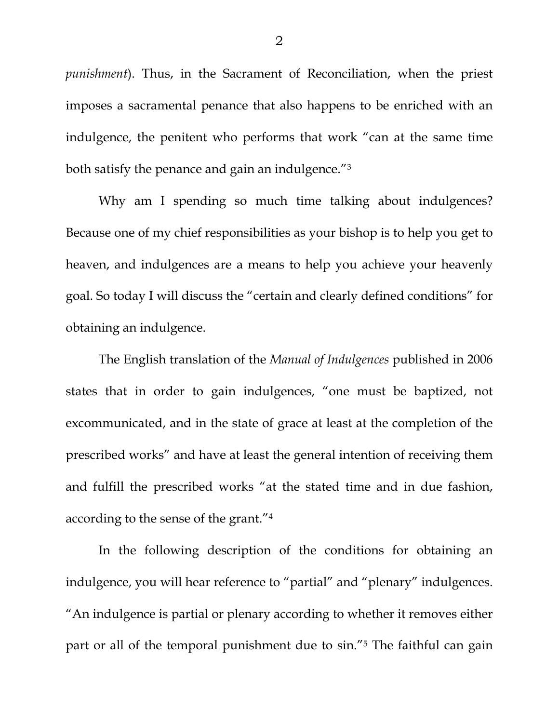*punishment*). Thus, in the Sacrament of Reconciliation, when the priest imposes a sacramental penance that also happens to be enriched with an indulgence, the penitent who performs that work "can at the same time both satisfy the penance and gain an indulgence."3

Why am I spending so much time talking about indulgences? Because one of my chief responsibilities as your bishop is to help you get to heaven, and indulgences are a means to help you achieve your heavenly goal. So today I will discuss the "certain and clearly defined conditions" for obtaining an indulgence.

The English translation of the *Manual of Indulgences* published in 2006 states that in order to gain indulgences, "one must be baptized, not excommunicated, and in the state of grace at least at the completion of the prescribed works" and have at least the general intention of receiving them and fulfill the prescribed works "at the stated time and in due fashion, according to the sense of the grant."4

In the following description of the conditions for obtaining an indulgence, you will hear reference to "partial" and "plenary" indulgences. "An indulgence is partial or plenary according to whether it removes either part or all of the temporal punishment due to sin."5 The faithful can gain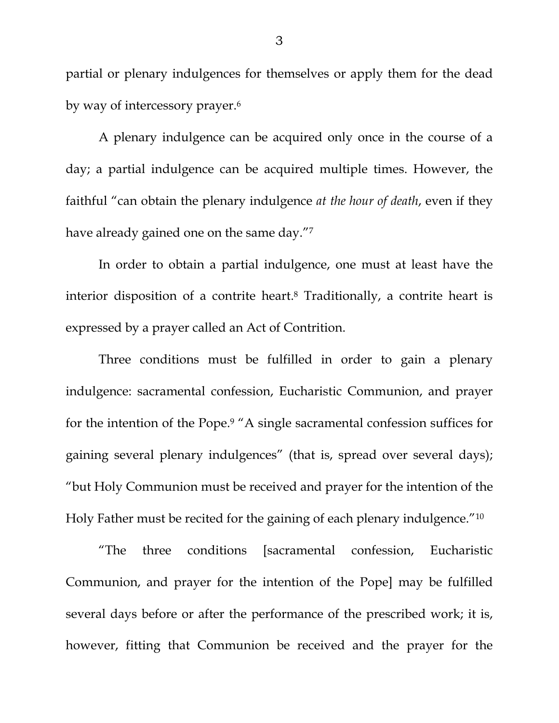partial or plenary indulgences for themselves or apply them for the dead by way of intercessory prayer.6

A plenary indulgence can be acquired only once in the course of a day; a partial indulgence can be acquired multiple times. However, the faithful "can obtain the plenary indulgence *at the hour of death*, even if they have already gained one on the same day."7

In order to obtain a partial indulgence, one must at least have the interior disposition of a contrite heart.8 Traditionally, a contrite heart is expressed by a prayer called an Act of Contrition.

Three conditions must be fulfilled in order to gain a plenary indulgence: sacramental confession, Eucharistic Communion, and prayer for the intention of the Pope.9 "A single sacramental confession suffices for gaining several plenary indulgences" (that is, spread over several days); "but Holy Communion must be received and prayer for the intention of the Holy Father must be recited for the gaining of each plenary indulgence."10

"The three conditions [sacramental confession, Eucharistic Communion, and prayer for the intention of the Pope] may be fulfilled several days before or after the performance of the prescribed work; it is, however, fitting that Communion be received and the prayer for the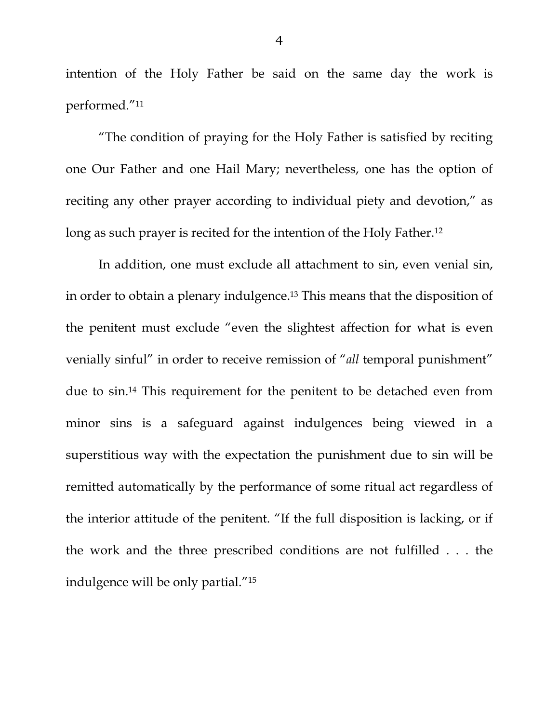intention of the Holy Father be said on the same day the work is performed."11

"The condition of praying for the Holy Father is satisfied by reciting one Our Father and one Hail Mary; nevertheless, one has the option of reciting any other prayer according to individual piety and devotion," as long as such prayer is recited for the intention of the Holy Father.<sup>12</sup>

In addition, one must exclude all attachment to sin, even venial sin, in order to obtain a plenary indulgence.13 This means that the disposition of the penitent must exclude "even the slightest affection for what is even venially sinful" in order to receive remission of "*all* temporal punishment" due to sin.14 This requirement for the penitent to be detached even from minor sins is a safeguard against indulgences being viewed in a superstitious way with the expectation the punishment due to sin will be remitted automatically by the performance of some ritual act regardless of the interior attitude of the penitent. "If the full disposition is lacking, or if the work and the three prescribed conditions are not fulfilled . . . the indulgence will be only partial."15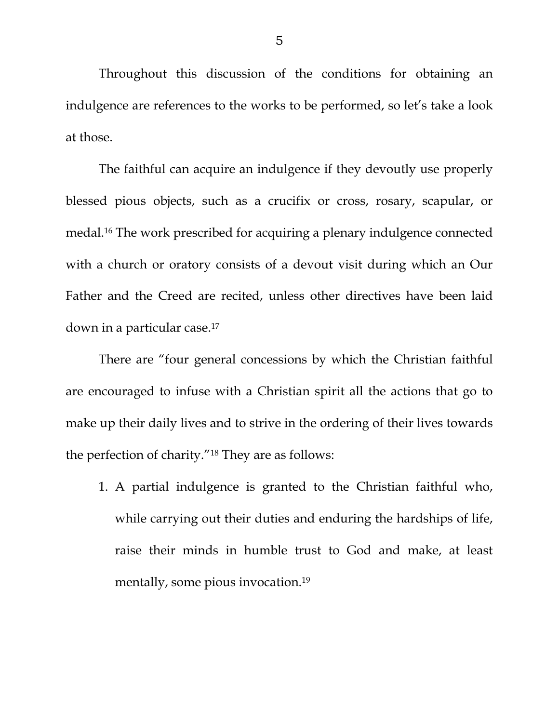Throughout this discussion of the conditions for obtaining an indulgence are references to the works to be performed, so let's take a look at those.

The faithful can acquire an indulgence if they devoutly use properly blessed pious objects, such as a crucifix or cross, rosary, scapular, or medal.16 The work prescribed for acquiring a plenary indulgence connected with a church or oratory consists of a devout visit during which an Our Father and the Creed are recited, unless other directives have been laid down in a particular case.17

There are "four general concessions by which the Christian faithful are encouraged to infuse with a Christian spirit all the actions that go to make up their daily lives and to strive in the ordering of their lives towards the perfection of charity."18 They are as follows:

1. A partial indulgence is granted to the Christian faithful who, while carrying out their duties and enduring the hardships of life, raise their minds in humble trust to God and make, at least mentally, some pious invocation.19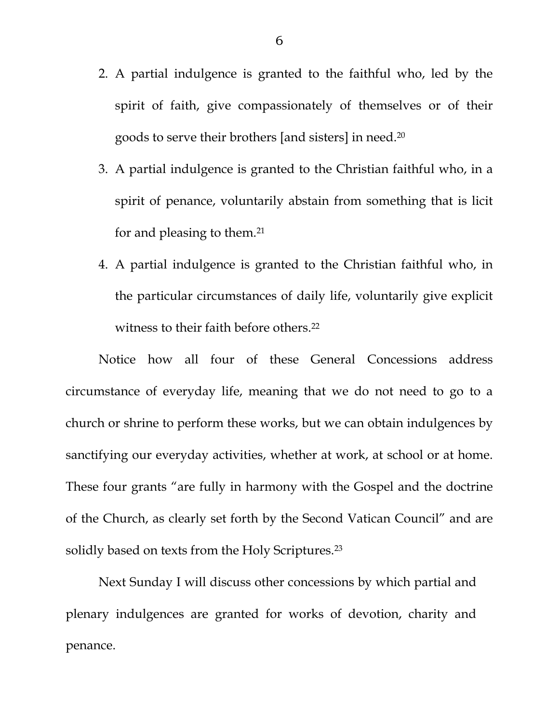- 2. A partial indulgence is granted to the faithful who, led by the spirit of faith, give compassionately of themselves or of their goods to serve their brothers [and sisters] in need.20
- 3. A partial indulgence is granted to the Christian faithful who, in a spirit of penance, voluntarily abstain from something that is licit for and pleasing to them.21
- 4. A partial indulgence is granted to the Christian faithful who, in the particular circumstances of daily life, voluntarily give explicit witness to their faith before others.<sup>22</sup>

 Notice how all four of these General Concessions address circumstance of everyday life, meaning that we do not need to go to a church or shrine to perform these works, but we can obtain indulgences by sanctifying our everyday activities, whether at work, at school or at home. These four grants "are fully in harmony with the Gospel and the doctrine of the Church, as clearly set forth by the Second Vatican Council" and are solidly based on texts from the Holy Scriptures.<sup>23</sup>

 Next Sunday I will discuss other concessions by which partial and plenary indulgences are granted for works of devotion, charity and penance.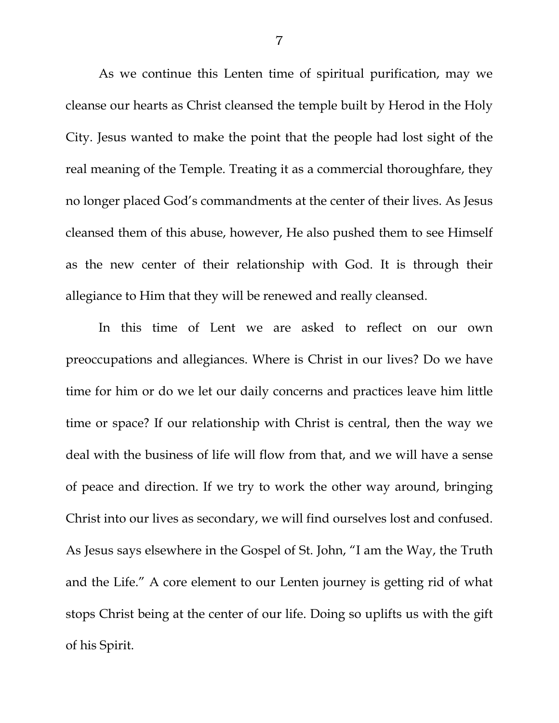As we continue this Lenten time of spiritual purification, may we cleanse our hearts as Christ cleansed the temple built by Herod in the Holy City. Jesus wanted to make the point that the people had lost sight of the real meaning of the Temple. Treating it as a commercial thoroughfare, they no longer placed God's commandments at the center of their lives. As Jesus cleansed them of this abuse, however, He also pushed them to see Himself as the new center of their relationship with God. It is through their allegiance to Him that they will be renewed and really cleansed.

In this time of Lent we are asked to reflect on our own preoccupations and allegiances. Where is Christ in our lives? Do we have time for him or do we let our daily concerns and practices leave him little time or space? If our relationship with Christ is central, then the way we deal with the business of life will flow from that, and we will have a sense of peace and direction. If we try to work the other way around, bringing Christ into our lives as secondary, we will find ourselves lost and confused. As Jesus says elsewhere in the Gospel of St. John, "I am the Way, the Truth and the Life." A core element to our Lenten journey is getting rid of what stops Christ being at the center of our life. Doing so uplifts us with the gift of his Spirit.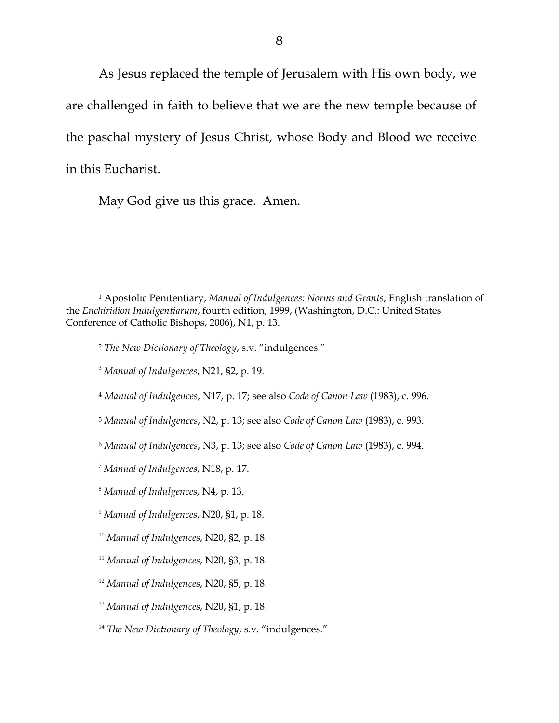As Jesus replaced the temple of Jerusalem with His own body, we are challenged in faith to believe that we are the new temple because of the paschal mystery of Jesus Christ, whose Body and Blood we receive in this Eucharist.

May God give us this grace. Amen.

 $\overline{a}$ 

<sup>1</sup> Apostolic Penitentiary, *Manual of Indulgences: Norms and Grants*, English translation of the *Enchiridion Indulgentiarum*, fourth edition, 1999, (Washington, D.C.: United States Conference of Catholic Bishops, 2006), N1, p. 13.

<sup>2</sup> *The New Dictionary of Theology*, s.v. "indulgences."

<sup>3</sup> *Manual of Indulgences*, N21, §2, p. 19.

<sup>4</sup> *Manual of Indulgences*, N17, p. 17; see also *Code of Canon Law* (1983), c. 996.

<sup>5</sup> *Manual of Indulgences*, N2, p. 13; see also *Code of Canon Law* (1983), c. 993.

<sup>6</sup> *Manual of Indulgences*, N3, p. 13; see also *Code of Canon Law* (1983), c. 994.

<sup>7</sup> *Manual of Indulgences*, N18, p. 17.

<sup>8</sup> *Manual of Indulgences*, N4, p. 13.

<sup>9</sup> *Manual of Indulgences*, N20, §1, p. 18.

<sup>10</sup> *Manual of Indulgences*, N20, §2, p. 18.

<sup>11</sup> *Manual of Indulgences*, N20, §3, p. 18.

<sup>12</sup> *Manual of Indulgences*, N20, §5, p. 18.

<sup>13</sup> *Manual of Indulgences*, N20, §1, p. 18.

<sup>&</sup>lt;sup>14</sup> The New Dictionary of Theology, s.v. "indulgences."